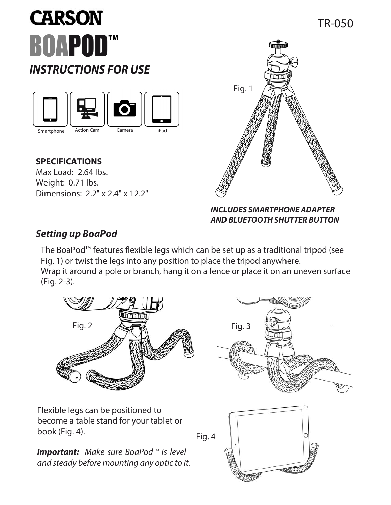# **CARSON BOAPOD™ INSTRUCTIONS FOR USE**



### **SPECIFICATIONS**

Max Load: 2.64 lbs. Weight: 0.71 lbs. Dimensions: 2.2" x 2.4" x 12.2"



#### **INCLUDES SMARTPHONE ADAPTER AND BLUETOOTH SHUTTER BUTTON**

## **Setting up BoaPod**

The BoaPod $\mathbb{M}$  features flexible legs which can be set up as a traditional tripod (see Fig. 1) or twist the legs into any position to place the tripod anywhere. Wrap it around a pole or branch, hang it on a fence or place it on an uneven surface (Fig. 2-3).

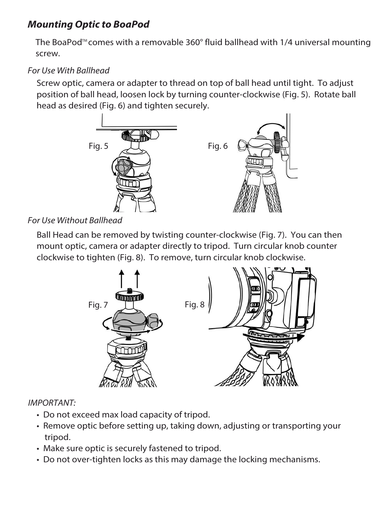## **Mounting Optic to BoaPod**

The BoaPod<sup> $m$ </sup> comes with a removable 360 $^{\circ}$  fluid ballhead with 1/4 universal mounting screw.

### For Use With Ballhead

Screw optic, camera or adapter to thread on top of ball head until tight. To adjust position of ball head, loosen lock by turning counter-clockwise (Fig. 5). Rotate ball head as desired (Fig. 6) and tighten securely.



#### For Use Without Ballhead

Ball Head can be removed by twisting counter-clockwise (Fig. 7). You can then mount optic, camera or adapter directly to tripod. Turn circular knob counter clockwise to tighten (Fig. 8). To remove, turn circular knob clockwise.



#### IMPORTANT:

- Do not exceed max load capacity of tripod.
- Remove optic before setting up, taking down, adjusting or transporting your tripod.
- Make sure optic is securely fastened to tripod.
- Do not over-tighten locks as this may damage the locking mechanisms.